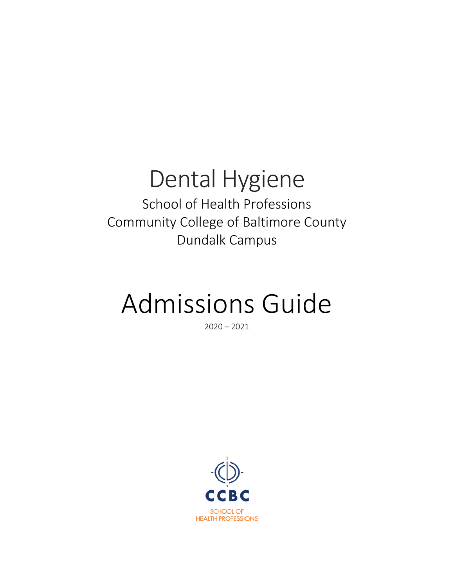## Dental Hygiene School of Health Professions Community College of Baltimore County Dundalk Campus

## Admissions Guide

 $2020 - 2021$ 

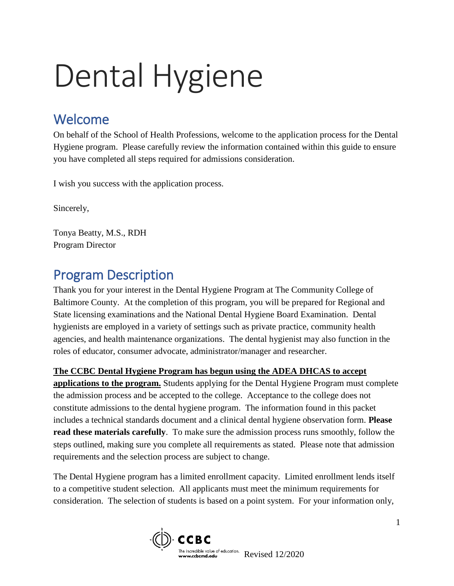# Dental Hygiene

## Welcome

On behalf of the School of Health Professions, welcome to the application process for the Dental Hygiene program. Please carefully review the information contained within this guide to ensure you have completed all steps required for admissions consideration.

I wish you success with the application process.

Sincerely,

Tonya Beatty, M.S., RDH Program Director

## Program Description

Thank you for your interest in the Dental Hygiene Program at The Community College of Baltimore County. At the completion of this program, you will be prepared for Regional and State licensing examinations and the National Dental Hygiene Board Examination. Dental hygienists are employed in a variety of settings such as private practice, community health agencies, and health maintenance organizations. The dental hygienist may also function in the roles of educator, consumer advocate, administrator/manager and researcher.

#### **The CCBC Dental Hygiene Program has begun using the ADEA DHCAS to accept**

**applications to the program.** Students applying for the Dental Hygiene Program must complete the admission process and be accepted to the college. Acceptance to the college does not constitute admissions to the dental hygiene program. The information found in this packet includes a technical standards document and a clinical dental hygiene observation form. **Please read these materials carefully**. To make sure the admission process runs smoothly, follow the steps outlined, making sure you complete all requirements as stated. Please note that admission requirements and the selection process are subject to change.

The Dental Hygiene program has a limited enrollment capacity. Limited enrollment lends itself to a competitive student selection. All applicants must meet the minimum requirements for consideration. The selection of students is based on a point system. For your information only,

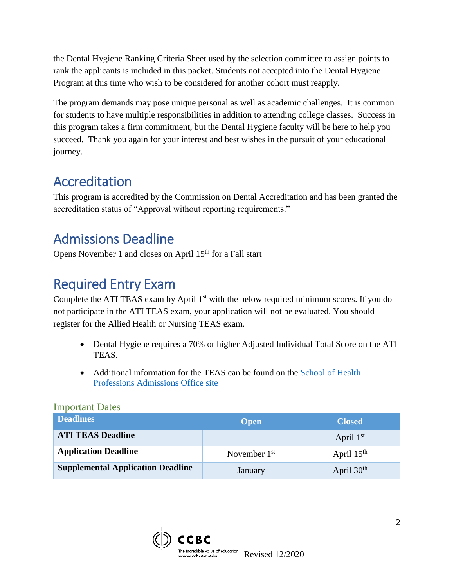the Dental Hygiene Ranking Criteria Sheet used by the selection committee to assign points to rank the applicants is included in this packet. Students not accepted into the Dental Hygiene Program at this time who wish to be considered for another cohort must reapply.

The program demands may pose unique personal as well as academic challenges. It is common for students to have multiple responsibilities in addition to attending college classes. Success in this program takes a firm commitment, but the Dental Hygiene faculty will be here to help you succeed. Thank you again for your interest and best wishes in the pursuit of your educational journey.

## Accreditation

This program is accredited by the Commission on Dental Accreditation and has been granted the accreditation status of "Approval without reporting requirements."

## Admissions Deadline

Opens November 1 and closes on April 15<sup>th</sup> for a Fall start

## Required Entry Exam

Complete the ATI TEAS exam by April  $1<sup>st</sup>$  with the below required minimum scores. If you do not participate in the ATI TEAS exam, your application will not be evaluated. You should register for the Allied Health or Nursing TEAS exam.

- Dental Hygiene requires a 70% or higher Adjusted Individual Total Score on the ATI TEAS.
- Additional information for the TEAS can be found on the [School of Health](http://www.ccbcmd.edu/Programs-and-Courses/Schools-and-Academic-Departments/School-of-Health-Professions/School-of-Health-Professions-Admissions-Office/TEAS-Testing.aspx)  [Professions Admissions Office site](http://www.ccbcmd.edu/Programs-and-Courses/Schools-and-Academic-Departments/School-of-Health-Professions/School-of-Health-Professions-Admissions-Office/TEAS-Testing.aspx)

| <b>Deadlines</b>                         | <b>Open</b>    | <b>Closed</b> |
|------------------------------------------|----------------|---------------|
| <b>ATI TEAS Deadline</b>                 |                | April $1st$   |
| <b>Application Deadline</b>              | November $1st$ | April $15th$  |
| <b>Supplemental Application Deadline</b> | January        | April $30th$  |

#### Important Dates

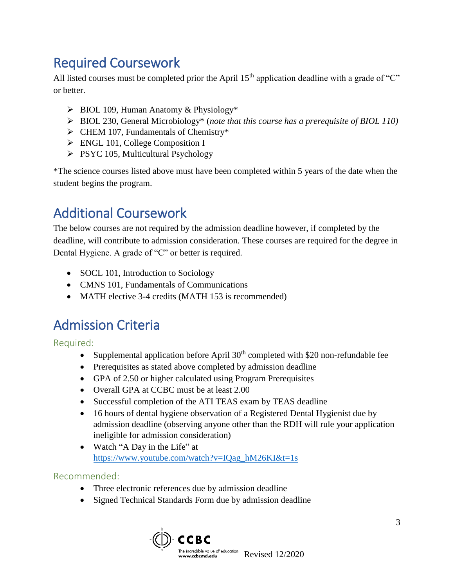## Required Coursework

All listed courses must be completed prior the April  $15<sup>th</sup>$  application deadline with a grade of "C" or better.

- $\triangleright$  BIOL 109, Human Anatomy & Physiology\*
- BIOL 230, General Microbiology\* (*note that this course has a prerequisite of BIOL 110)*
- $\triangleright$  CHEM 107, Fundamentals of Chemistry\*
- **ENGL 101, College Composition I**
- $\triangleright$  PSYC 105, Multicultural Psychology

\*The science courses listed above must have been completed within 5 years of the date when the student begins the program.

## Additional Coursework

The below courses are not required by the admission deadline however, if completed by the deadline, will contribute to admission consideration. These courses are required for the degree in Dental Hygiene. A grade of "C" or better is required.

- SOCL 101, Introduction to Sociology
- CMNS 101, Fundamentals of Communications
- MATH elective 3-4 credits (MATH 153 is recommended)

### Admission Criteria

Required:

- Supplemental application before April  $30<sup>th</sup>$  completed with \$20 non-refundable fee
- Prerequisites as stated above completed by admission deadline
- GPA of 2.50 or higher calculated using Program Prerequisites
- Overall GPA at CCBC must be at least 2.00
- Successful completion of the ATI TEAS exam by TEAS deadline
- 16 hours of dental hygiene observation of a Registered Dental Hygienist due by admission deadline (observing anyone other than the RDH will rule your application ineligible for admission consideration)
- Watch "A Day in the Life" at [https://www.youtube.com/watch?v=IQag\\_hM26KI&t=1s](https://www.youtube.com/watch?v=IQag_hM26KI&t=1s)

#### Recommended:

- Three electronic references due by admission deadline
- Signed Technical Standards Form due by admission deadline

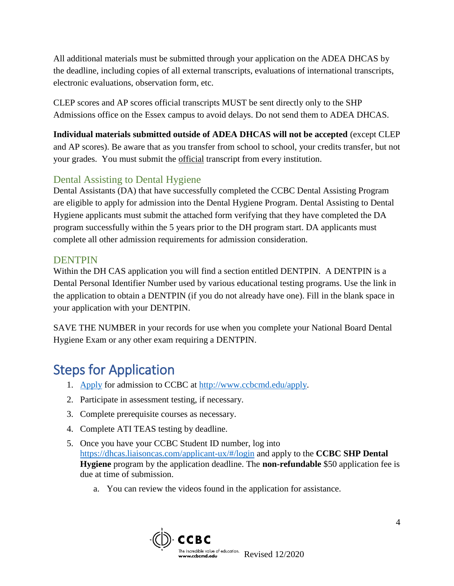All additional materials must be submitted through your application on the ADEA DHCAS by the deadline, including copies of all external transcripts, evaluations of international transcripts, electronic evaluations, observation form, etc.

CLEP scores and AP scores official transcripts MUST be sent directly only to the SHP Admissions office on the Essex campus to avoid delays. Do not send them to ADEA DHCAS.

**Individual materials submitted outside of ADEA DHCAS will not be accepted** (except CLEP and AP scores). Be aware that as you transfer from school to school, your credits transfer, but not your grades. You must submit the official transcript from every institution.

#### Dental Assisting to Dental Hygiene

Dental Assistants (DA) that have successfully completed the CCBC Dental Assisting Program are eligible to apply for admission into the Dental Hygiene Program. Dental Assisting to Dental Hygiene applicants must submit the attached form verifying that they have completed the DA program successfully within the 5 years prior to the DH program start. DA applicants must complete all other admission requirements for admission consideration.

#### **DENTPIN**

Within the DH CAS application you will find a section entitled DENTPIN. A DENTPIN is a Dental Personal Identifier Number used by various educational testing programs. Use the link in the application to obtain a DENTPIN (if you do not already have one). Fill in the blank space in your application with your DENTPIN.

SAVE THE NUMBER in your records for use when you complete your National Board Dental Hygiene Exam or any other exam requiring a DENTPIN.

## Steps for Application

- 1. [Apply](http://www.ccbcmd.edu/Get-Started/Applying-to-CCBC.aspx) for admission to CCBC at [http://www.ccbcmd.edu/apply.](http://www.ccbcmd.edu/apply)
- 2. Participate in assessment testing, if necessary.
- 3. Complete prerequisite courses as necessary.
- 4. Complete ATI TEAS testing by deadline.
- 5. Once you have your CCBC Student ID number, log into <https://dhcas.liaisoncas.com/applicant-ux/#/login> and apply to the **CCBC SHP Dental Hygiene** program by the application deadline. The **non-refundable** \$50 application fee is due at time of submission.
	- a. You can review the videos found in the application for assistance.

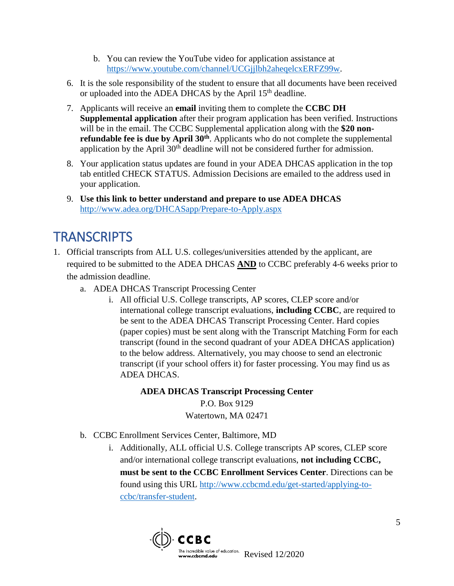- b. You can review the YouTube video for application assistance at [https://www.youtube.com/channel/UCGjjlbh2aheqelcxERFZ99w.](https://www.youtube.com/channel/UCGjjlbh2aheqelcxERFZ99w)
- 6. It is the sole responsibility of the student to ensure that all documents have been received or uploaded into the ADEA DHCAS by the April 15<sup>th</sup> deadline.
- 7. Applicants will receive an **email** inviting them to complete the **CCBC DH Supplemental application** after their program application has been verified. Instructions will be in the email. The CCBC Supplemental application along with the **\$20 nonrefundable fee is due by April 30<sup>th</sup>**. Applicants who do not complete the supplemental application by the April  $30<sup>th</sup>$  deadline will not be considered further for admission.
- 8. Your application status updates are found in your ADEA DHCAS application in the top tab entitled CHECK STATUS. Admission Decisions are emailed to the address used in your application.
- 9. **Use this link to better understand and prepare to use ADEA DHCAS**  <http://www.adea.org/DHCASapp/Prepare-to-Apply.aspx>

## **TRANSCRIPTS**

- 1. Official transcripts from ALL U.S. colleges/universities attended by the applicant, are required to be submitted to the ADEA DHCAS **AND** to CCBC preferably 4-6 weeks prior to the admission deadline.
	- a. ADEA DHCAS Transcript Processing Center
		- i. All official U.S. College transcripts, AP scores, CLEP score and/or international college transcript evaluations, **including CCBC**, are required to be sent to the ADEA DHCAS Transcript Processing Center. Hard copies (paper copies) must be sent along with the Transcript Matching Form for each transcript (found in the second quadrant of your ADEA DHCAS application) to the below address. Alternatively, you may choose to send an electronic transcript (if your school offers it) for faster processing. You may find us as ADEA DHCAS.

#### **ADEA DHCAS Transcript Processing Center**

P.O. Box 9129 Watertown, MA 02471

- b. CCBC Enrollment Services Center, Baltimore, MD
	- i. Additionally, ALL official U.S. College transcripts AP scores, CLEP score and/or international college transcript evaluations, **not including CCBC, must be sent to the CCBC Enrollment Services Center**. Directions can be found using this URL [http://www.ccbcmd.edu/get-started/applying-to](https://nam02.safelinks.protection.outlook.com/?url=http%3A%2F%2Fwww.ccbcmd.edu%2Fget-started%2Fapplying-to-ccbc%2Ftransfer-student&data=02%7C01%7Cscool%40ccbcmd.edu%7C3d863bc9fafb4afea15308d714f78a17%7C2afa200077264920a9570397c340fc3d%7C0%7C0%7C637000925707409073&sdata=MI2w7YLgAbA8Xvghw5IPm3UGa87zQFuHLBlltIksjBQ%3D&reserved=0)[ccbc/transfer-student.](https://nam02.safelinks.protection.outlook.com/?url=http%3A%2F%2Fwww.ccbcmd.edu%2Fget-started%2Fapplying-to-ccbc%2Ftransfer-student&data=02%7C01%7Cscool%40ccbcmd.edu%7C3d863bc9fafb4afea15308d714f78a17%7C2afa200077264920a9570397c340fc3d%7C0%7C0%7C637000925707409073&sdata=MI2w7YLgAbA8Xvghw5IPm3UGa87zQFuHLBlltIksjBQ%3D&reserved=0)

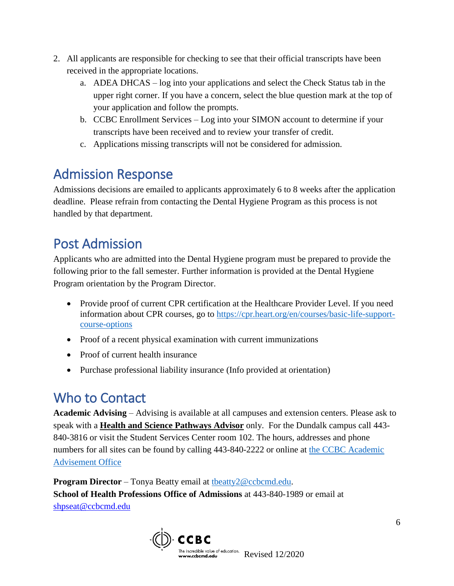- 2. All applicants are responsible for checking to see that their official transcripts have been received in the appropriate locations.
	- a. ADEA DHCAS log into your applications and select the Check Status tab in the upper right corner. If you have a concern, select the blue question mark at the top of your application and follow the prompts.
	- b. CCBC Enrollment Services Log into your SIMON account to determine if your transcripts have been received and to review your transfer of credit.
	- c. Applications missing transcripts will not be considered for admission.

## Admission Response

Admissions decisions are emailed to applicants approximately 6 to 8 weeks after the application deadline. Please refrain from contacting the Dental Hygiene Program as this process is not handled by that department.

## Post Admission

Applicants who are admitted into the Dental Hygiene program must be prepared to provide the following prior to the fall semester. Further information is provided at the Dental Hygiene Program orientation by the Program Director.

- Provide proof of current CPR certification at the Healthcare Provider Level. If you need information about CPR courses, go to [https://cpr.heart.org/en/courses/basic-life-support](https://cpr.heart.org/en/courses/basic-life-support-course-options)[course-options](https://cpr.heart.org/en/courses/basic-life-support-course-options)
- Proof of a recent physical examination with current immunizations
- Proof of current health insurance
- Purchase professional liability insurance (Info provided at orientation)

## Who to Contact

**Academic Advising** – Advising is available at all campuses and extension centers. Please ask to speak with a **Health and Science Pathways Advisor** only. For the Dundalk campus call 443- 840-3816 or visit the Student Services Center room 102. The hours, addresses and phone numbers for all sites can be found by calling 443-840-2222 or online at the CCBC Academic [Advisement Office](http://www.ccbcmd.edu/Resources-for-Students/Academic-Advisement/Contact-an-Academic-Advisor.aspx.)

**Program Director** – Tonya Beatty email at [tbeatty2@ccbcmd.edu.](mailto:tbeatty2@ccbcmd.edu) **School of Health Professions Office of Admissions** at 443-840-1989 or email at [shpseat@ccbcmd.edu](mailto:shpseat@ccbcmd.edu)

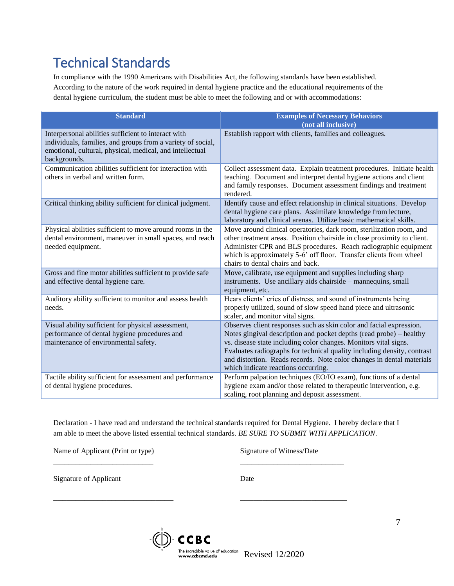## Technical Standards

In compliance with the 1990 Americans with Disabilities Act, the following standards have been established. According to the nature of the work required in dental hygiene practice and the educational requirements of the dental hygiene curriculum, the student must be able to meet the following and or with accommodations:

| <b>Standard</b>                                                                                                                                                                                | <b>Examples of Necessary Behaviors</b><br>(not all inclusive)                                                                                                                                                                                                                                                                                                                                             |
|------------------------------------------------------------------------------------------------------------------------------------------------------------------------------------------------|-----------------------------------------------------------------------------------------------------------------------------------------------------------------------------------------------------------------------------------------------------------------------------------------------------------------------------------------------------------------------------------------------------------|
| Interpersonal abilities sufficient to interact with<br>individuals, families, and groups from a variety of social,<br>emotional, cultural, physical, medical, and intellectual<br>backgrounds. | Establish rapport with clients, families and colleagues.                                                                                                                                                                                                                                                                                                                                                  |
| Communication abilities sufficient for interaction with<br>others in verbal and written form.                                                                                                  | Collect assessment data. Explain treatment procedures. Initiate health<br>teaching. Document and interpret dental hygiene actions and client<br>and family responses. Document assessment findings and treatment<br>rendered.                                                                                                                                                                             |
| Critical thinking ability sufficient for clinical judgment.                                                                                                                                    | Identify cause and effect relationship in clinical situations. Develop<br>dental hygiene care plans. Assimilate knowledge from lecture,<br>laboratory and clinical arenas. Utilize basic mathematical skills.                                                                                                                                                                                             |
| Physical abilities sufficient to move around rooms in the<br>dental environment, maneuver in small spaces, and reach<br>needed equipment.                                                      | Move around clinical operatories, dark room, sterilization room, and<br>other treatment areas. Position chairside in close proximity to client.<br>Administer CPR and BLS procedures. Reach radiographic equipment<br>which is approximately 5-6' off floor. Transfer clients from wheel<br>chairs to dental chairs and back.                                                                             |
| Gross and fine motor abilities sufficient to provide safe<br>and effective dental hygiene care.                                                                                                | Move, calibrate, use equipment and supplies including sharp<br>instruments. Use ancillary aids chairside - mannequins, small<br>equipment, etc.                                                                                                                                                                                                                                                           |
| Auditory ability sufficient to monitor and assess health<br>needs.                                                                                                                             | Hears clients' cries of distress, and sound of instruments being<br>properly utilized, sound of slow speed hand piece and ultrasonic<br>scaler, and monitor vital signs.                                                                                                                                                                                                                                  |
| Visual ability sufficient for physical assessment,<br>performance of dental hygiene procedures and<br>maintenance of environmental safety.                                                     | Observes client responses such as skin color and facial expression.<br>Notes gingival description and pocket depths (read probe) – healthy<br>vs. disease state including color changes. Monitors vital signs.<br>Evaluates radiographs for technical quality including density, contrast<br>and distortion. Reads records. Note color changes in dental materials<br>which indicate reactions occurring. |
| Tactile ability sufficient for assessment and performance<br>of dental hygiene procedures.                                                                                                     | Perform palpation techniques (EO/IO exam), functions of a dental<br>hygiene exam and/or those related to therapeutic intervention, e.g.<br>scaling, root planning and deposit assessment.                                                                                                                                                                                                                 |

Declaration - I have read and understand the technical standards required for Dental Hygiene. I hereby declare that I am able to meet the above listed essential technical standards. *BE SURE TO SUBMIT WITH APPLICATION*.

\_\_\_\_\_\_\_\_\_\_\_\_\_\_\_\_\_\_\_\_\_\_\_\_\_\_\_ \_\_\_\_\_\_\_\_\_\_\_\_\_\_\_\_\_\_\_\_\_\_\_\_\_\_\_\_

\_\_\_\_\_\_\_\_\_\_\_\_\_\_\_\_\_\_\_\_\_\_\_\_\_\_\_ \_\_\_\_\_\_\_\_\_\_\_\_\_\_\_\_\_\_\_\_\_\_\_\_

Name of Applicant (Print or type) Signature of Witness/Date

Signature of Applicant Date

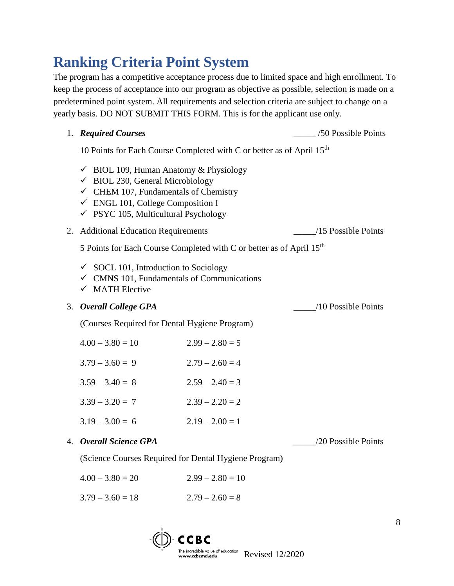## **Ranking Criteria Point System**

The program has a competitive acceptance process due to limited space and high enrollment. To keep the process of acceptance into our program as objective as possible, selection is made on a predetermined point system. All requirements and selection criteria are subject to change on a yearly basis. DO NOT SUBMIT THIS FORM. This is for the applicant use only.

|    | 1. Required Courses                                                                                                                                                                                                                                     |                                                                                   | /50 Possible Points |
|----|---------------------------------------------------------------------------------------------------------------------------------------------------------------------------------------------------------------------------------------------------------|-----------------------------------------------------------------------------------|---------------------|
|    |                                                                                                                                                                                                                                                         | 10 Points for Each Course Completed with C or better as of April 15 <sup>th</sup> |                     |
|    | $\checkmark$ BIOL 109, Human Anatomy & Physiology<br>$\checkmark$ BIOL 230, General Microbiology<br>$\checkmark$ CHEM 107, Fundamentals of Chemistry<br>$\checkmark$ ENGL 101, College Composition I<br>$\checkmark$ PSYC 105, Multicultural Psychology |                                                                                   |                     |
| 2. | <b>Additional Education Requirements</b>                                                                                                                                                                                                                |                                                                                   | /15 Possible Points |
|    |                                                                                                                                                                                                                                                         | 5 Points for Each Course Completed with C or better as of April 15 <sup>th</sup>  |                     |
|    | $\checkmark$ SOCL 101, Introduction to Sociology<br>$\checkmark$ CMNS 101, Fundamentals of Communications<br>$\checkmark$ MATH Elective                                                                                                                 |                                                                                   |                     |
| 3. | <b>Overall College GPA</b>                                                                                                                                                                                                                              |                                                                                   | /10 Possible Points |
|    | (Courses Required for Dental Hygiene Program)                                                                                                                                                                                                           |                                                                                   |                     |
|    | $4.00 - 3.80 = 10$                                                                                                                                                                                                                                      | $2.99 - 2.80 = 5$                                                                 |                     |
|    | $3.79 - 3.60 = 9$                                                                                                                                                                                                                                       | $2.79 - 2.60 = 4$                                                                 |                     |
|    | $3.59 - 3.40 = 8$                                                                                                                                                                                                                                       | $2.59 - 2.40 = 3$                                                                 |                     |
|    | $3.39 - 3.20 = 7$                                                                                                                                                                                                                                       | $2.39 - 2.20 = 2$                                                                 |                     |
|    | $3.19 - 3.00 = 6$                                                                                                                                                                                                                                       | $2.19 - 2.00 = 1$                                                                 |                     |
| 4. | <b>Overall Science GPA</b>                                                                                                                                                                                                                              |                                                                                   | /20 Possible Points |
|    |                                                                                                                                                                                                                                                         | $(S_{\alpha})$ Courses Desired for Dontal Hygiano Drogram)                        |                     |

(Science Courses Required for Dental Hygiene Program)

| $4.00 - 3.80 = 20$ | $2.99 - 2.80 = 10$ |
|--------------------|--------------------|
|                    |                    |

 $3.79 - 3.60 = 18$   $2.79 - 2.60 = 8$ 

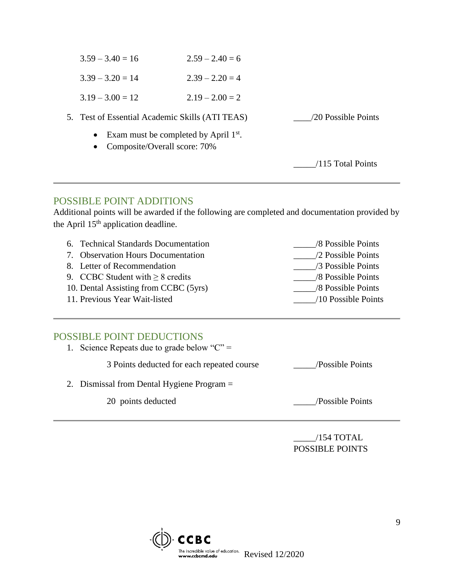| • Exam must be completed by April $1st$ .       |                   |                     |
|-------------------------------------------------|-------------------|---------------------|
| 5. Test of Essential Academic Skills (ATI TEAS) |                   | /20 Possible Points |
| $3.19 - 3.00 = 12$                              | $2.19 - 2.00 = 2$ |                     |
| $3.39 - 3.20 = 14$                              | $2.39 - 2.20 = 4$ |                     |
| $3.59 - 3.40 = 16$                              | $2.59 - 2.40 = 6$ |                     |

• Composite/Overall score: 70%

\_\_\_\_\_/115 Total Points

#### POSSIBLE POINT ADDITIONS

Additional points will be awarded if the following are completed and documentation provided by the April 15<sup>th</sup> application deadline.

6. Technical Standards Documentation \_\_\_\_\_/8 Possible Points 7. Observation Hours Documentation  $\sqrt{2}$  Possible Points 8. Letter of Recommendation 28 Possible Points 9. CCBC Student with  $\geq 8$  credits  $\qquad \qquad \qquad$  /8 Possible Points 10. Dental Assisting from CCBC (5yrs) \_\_\_\_\_/8 Possible Points 11. Previous Year Wait-listed /10 Possible Points

#### POSSIBLE POINT DEDUCTIONS

| Science Repeats due to grade below " $C$ " = |                  |
|----------------------------------------------|------------------|
| 3 Points deducted for each repeated course   | /Possible Points |
| 2. Dismissal from Dental Hygiene Program $=$ |                  |

20 points deducted \_\_\_\_\_/Possible Points

\_\_\_\_\_/154 TOTAL POSSIBLE POINTS

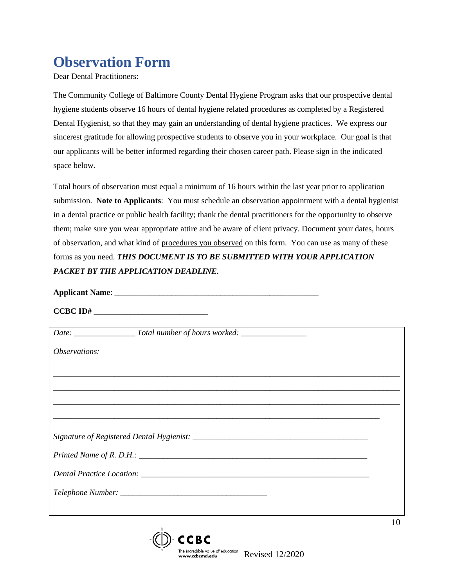## **Observation Form**

Dear Dental Practitioners:

The Community College of Baltimore County Dental Hygiene Program asks that our prospective dental hygiene students observe 16 hours of dental hygiene related procedures as completed by a Registered Dental Hygienist, so that they may gain an understanding of dental hygiene practices. We express our sincerest gratitude for allowing prospective students to observe you in your workplace. Our goal is that our applicants will be better informed regarding their chosen career path. Please sign in the indicated space below.

Total hours of observation must equal a minimum of 16 hours within the last year prior to application submission. **Note to Applicants**: You must schedule an observation appointment with a dental hygienist in a dental practice or public health facility; thank the dental practitioners for the opportunity to observe them; make sure you wear appropriate attire and be aware of client privacy. Document your dates, hours of observation, and what kind of procedures you observed on this form. You can use as many of these forms as you need. *THIS DOCUMENT IS TO BE SUBMITTED WITH YOUR APPLICATION PACKET BY THE APPLICATION DEADLINE.*

**Applicant Name**: \_\_\_\_\_\_\_\_\_\_\_\_\_\_\_\_\_\_\_\_\_\_\_\_\_\_\_\_\_\_\_\_\_\_\_\_\_\_\_\_\_\_\_\_\_\_\_\_\_\_

**CCBC ID#** \_\_\_\_\_\_\_\_\_\_\_\_\_\_\_\_\_\_\_\_\_\_\_\_\_\_\_\_

| <i>Observations:</i> |                                                                                                                                                                                                                                                                                      |    |
|----------------------|--------------------------------------------------------------------------------------------------------------------------------------------------------------------------------------------------------------------------------------------------------------------------------------|----|
|                      |                                                                                                                                                                                                                                                                                      |    |
|                      |                                                                                                                                                                                                                                                                                      |    |
|                      |                                                                                                                                                                                                                                                                                      |    |
|                      |                                                                                                                                                                                                                                                                                      |    |
|                      |                                                                                                                                                                                                                                                                                      |    |
|                      | Printed Name of R. D.H.: $\frac{1}{2}$ and $\frac{1}{2}$ and $\frac{1}{2}$ and $\frac{1}{2}$ and $\frac{1}{2}$ and $\frac{1}{2}$ and $\frac{1}{2}$ and $\frac{1}{2}$ and $\frac{1}{2}$ and $\frac{1}{2}$ and $\frac{1}{2}$ and $\frac{1}{2}$ and $\frac{1}{2}$ and $\frac{1}{2}$ and |    |
|                      |                                                                                                                                                                                                                                                                                      |    |
|                      |                                                                                                                                                                                                                                                                                      |    |
|                      |                                                                                                                                                                                                                                                                                      |    |
|                      | л.                                                                                                                                                                                                                                                                                   | 10 |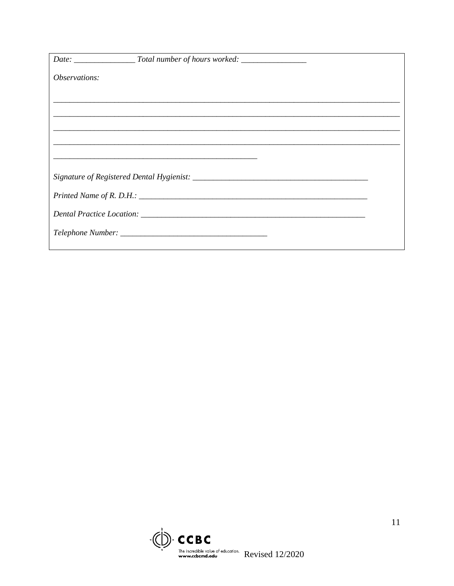| <i>Observations:</i> |  |
|----------------------|--|
|                      |  |
|                      |  |
|                      |  |
|                      |  |
|                      |  |
|                      |  |
|                      |  |
|                      |  |
|                      |  |
|                      |  |

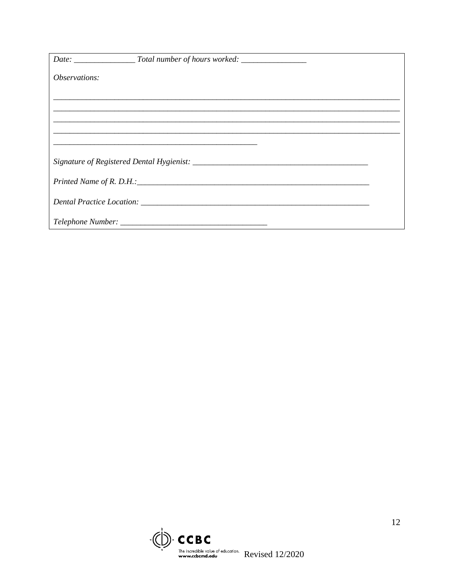| <i>Observations:</i> |  |
|----------------------|--|
|                      |  |
|                      |  |
|                      |  |
|                      |  |
|                      |  |
|                      |  |
|                      |  |
|                      |  |